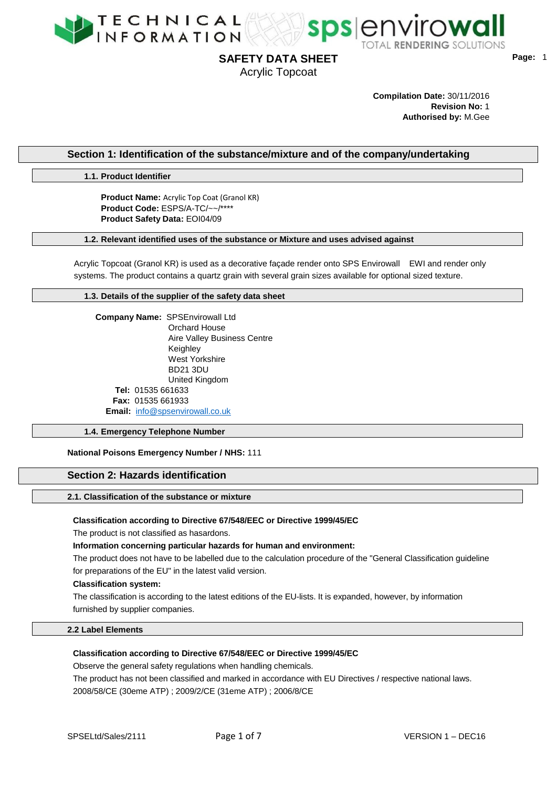



Acrylic Topcoat

**Page:** 1

**Compilation Date:** 30/11/2016 **Revision No:** 1 **Authorised by:** M.Gee

# **Section 1: Identification of the substance/mixture and of the company/undertaking**

**1.1. Product Identifier**

**Product Name:** Acrylic Top Coat (Granol KR) **Product Code:** ESPS/A-TC/~~/\*\*\*\* **Product Safety Data:** EOI04/09

# **1.2. Relevant identified uses of the substance or Mixture and uses advised against**

Acrylic Topcoat (Granol KR) is used as a decorative façade render onto SPS Envirowall EWI and render only systems. The product contains a quartz grain with several grain sizes available for optional sized texture.

## **1.3. Details of the supplier of the safety data sheet**

 **Company Name:** SPSEnvirowall Ltd Orchard House Aire Valley Business Centre Keighley West Yorkshire BD21 3DU United Kingdom **Tel:** 01535 661633 **Fax:** 01535 661933 **Email:** [info@spsenvirowall.co.uk](mailto:info@spsenvirowall.co.uk)

### **1.4. Emergency Telephone Number**

## **National Poisons Emergency Number / NHS:** 111

# **Section 2: Hazards identification**

# **2.1. Classification of the substance or mixture**

#### **Classification according to Directive 67/548/EEC or Directive 1999/45/EC**

The product is not classified as hasardons.

**Information concerning particular hazards for human and environment:**

The product does not have to be labelled due to the calculation procedure of the "General Classification guideline for preparations of the EU" in the latest valid version.

#### **Classification system:**

The classification is according to the latest editions of the EU-lists. It is expanded, however, by information furnished by supplier companies.

#### **2.2 Label Elements**

## **Classification according to Directive 67/548/EEC or Directive 1999/45/EC**

Observe the general safety regulations when handling chemicals.

The product has not been classified and marked in accordance with EU Directives / respective national laws. 2008/58/CE (30eme ATP) ; 2009/2/CE (31eme ATP) ; 2006/8/CE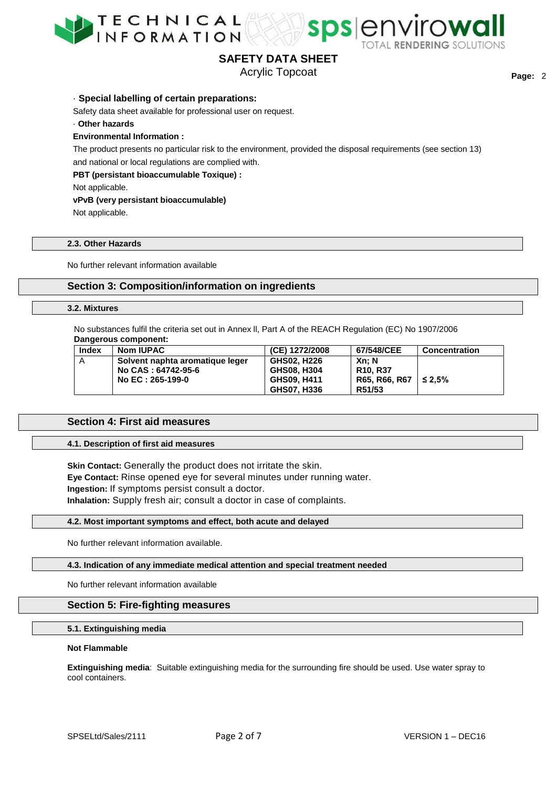



spsenvirowa

Acrylic Topcoat

· **Special labelling of certain preparations:**

Safety data sheet available for professional user on request.

· **Other hazards**

## **Environmental Information :**

The product presents no particular risk to the environment, provided the disposal requirements (see section 13) and national or local regulations are complied with.

**PBT (persistant bioaccumulable Toxique) :**

Not applicable.

# **vPvB (very persistant bioaccumulable)**

Not applicable.

# **2.3. Other Hazards**

No further relevant information available

# **Section 3: Composition/information on ingredients**

#### **3.2. Mixtures**

No substances fulfil the criteria set out in Annex ll, Part A of the REACH Regulation (EC) No 1907/2006 **Dangerous component:**

| Index | <b>Nom IUPAC</b>                | (CE) 1272/2008 | 67/548/CEE    | Concentration |
|-------|---------------------------------|----------------|---------------|---------------|
| A     | Solvent naphta aromatique leger | GHS02. H226    | Xn: N         |               |
|       | No CAS : 64742-95-6             | GHS08, H304    | R10. R37      |               |
|       | No EC : 265-199-0               | GHS09, H411    | R65. R66. R67 | $\leq 2.5\%$  |
|       |                                 | GHS07, H336    | R51/53        |               |

# **Section 4: First aid measures**

### **4.1. Description of first aid measures**

**Skin Contact:** Generally the product does not irritate the skin. **Eye Contact:** Rinse opened eye for several minutes under running water. **Ingestion:** If symptoms persist consult a doctor. **Inhalation:** Supply fresh air; consult a doctor in case of complaints.

#### **4.2. Most important symptoms and effect, both acute and delayed**

No further relevant information available.

## **4.3. Indication of any immediate medical attention and special treatment needed**

No further relevant information available

## **Section 5: Fire-fighting measures**

# **5.1. Extinguishing media**

#### **Not Flammable**

**Extinguishing media**: Suitable extinguishing media for the surrounding fire should be used. Use water spray to cool containers.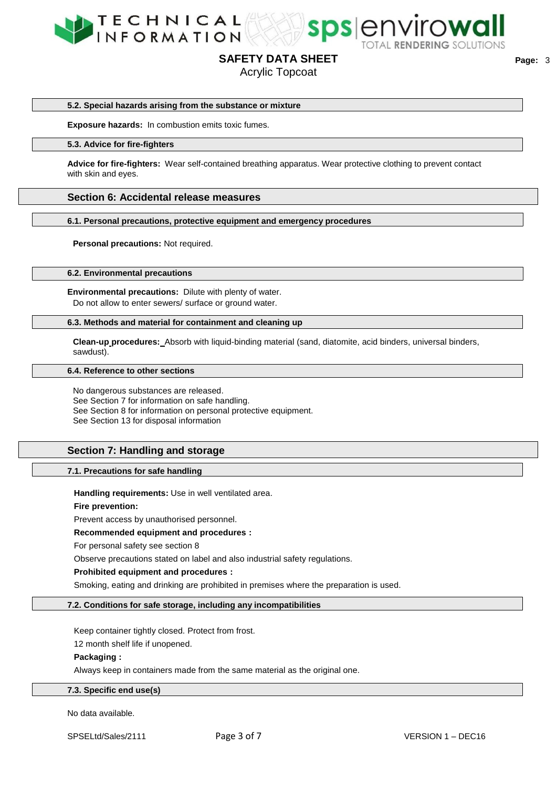



sps envirowall

Acrylic Topcoat

#### **5.2. Special hazards arising from the substance or mixture**

**Exposure hazards:** In combustion emits toxic fumes.

#### **5.3. Advice for fire-fighters**

**Advice for fire-fighters:** Wear self-contained breathing apparatus. Wear protective clothing to prevent contact with skin and eyes.

# **Section 6: Accidental release measures**

**6.1. Personal precautions, protective equipment and emergency procedures**

**Personal precautions:** Not required.

**6.2. Environmental precautions**

**Environmental precautions:** Dilute with plenty of water. Do not allow to enter sewers/ surface or ground water.

#### **6.3. Methods and material for containment and cleaning up**

**Clean-up procedures:** Absorb with liquid-binding material (sand, diatomite, acid binders, universal binders, sawdust).

#### **6.4. Reference to other sections**

No dangerous substances are released. See Section 7 for information on safe handling. See Section 8 for information on personal protective equipment. See Section 13 for disposal information

# **Section 7: Handling and storage**

## **7.1. Precautions for safe handling**

**Handling requirements:** Use in well ventilated area.

**Fire prevention:**

Prevent access by unauthorised personnel.

## **Recommended equipment and procedures :**

For personal safety see section 8

Observe precautions stated on label and also industrial safety regulations.

## **Prohibited equipment and procedures :**

Smoking, eating and drinking are prohibited in premises where the preparation is used.

#### **7.2. Conditions for safe storage, including any incompatibilities**

Keep container tightly closed. Protect from frost.

12 month shelf life if unopened.

# **Packaging :**

Always keep in containers made from the same material as the original one.

# **7.3. Specific end use(s)**

No data available.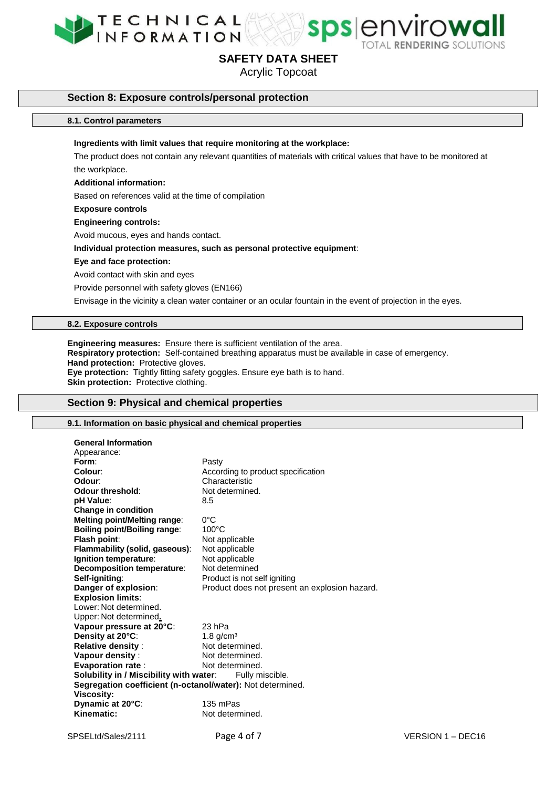



Acrylic Topcoat

# **Section 8: Exposure controls/personal protection**

#### **8.1. Control parameters**

#### **Ingredients with limit values that require monitoring at the workplace:**

The product does not contain any relevant quantities of materials with critical values that have to be monitored at the workplace.

#### **Additional information:**

Based on references valid at the time of compilation

## **Exposure controls**

**Engineering controls:**

Avoid mucous, eyes and hands contact.

#### **Individual protection measures, such as personal protective equipment**:

#### **Eye and face protection:**

Avoid contact with skin and eyes

Provide personnel with safety gloves (EN166)

Envisage in the vicinity a clean water container or an ocular fountain in the event of projection in the eyes.

# **8.2. Exposure controls**

**Engineering measures:** Ensure there is sufficient ventilation of the area. **Respiratory protection:** Self-contained breathing apparatus must be available in case of emergency. **Hand protection:** Protective gloves. **Eye protection:** Tightly fitting safety goggles. Ensure eye bath is to hand. **Skin protection:** Protective clothing.

# **Section 9: Physical and chemical properties**

## **9.1. Information on basic physical and chemical properties**

| <b>General Information</b>                                 |                                               |  |  |  |
|------------------------------------------------------------|-----------------------------------------------|--|--|--|
| Appearance:                                                |                                               |  |  |  |
| Form:                                                      | Pasty                                         |  |  |  |
| Colour:                                                    | According to product specification            |  |  |  |
| Odour:                                                     | Characteristic                                |  |  |  |
| Odour threshold:                                           | Not determined.                               |  |  |  |
| pH Value:                                                  | 8.5                                           |  |  |  |
| Change in condition                                        |                                               |  |  |  |
| <b>Melting point/Melting range:</b>                        | 0°C                                           |  |  |  |
| <b>Boiling point/Boiling range:</b>                        | $100^{\circ}$ C                               |  |  |  |
| Flash point:                                               | Not applicable                                |  |  |  |
| Flammability (solid, gaseous):                             | Not applicable                                |  |  |  |
| Ignition temperature:                                      | Not applicable                                |  |  |  |
| <b>Decomposition temperature:</b>                          | Not determined                                |  |  |  |
| Self-igniting:                                             | Product is not self igniting                  |  |  |  |
| Danger of explosion:                                       | Product does not present an explosion hazard. |  |  |  |
| <b>Explosion limits:</b>                                   |                                               |  |  |  |
| Lower: Not determined.                                     |                                               |  |  |  |
| Upper: Not determined,                                     |                                               |  |  |  |
| Vapour pressure at 20°C:                                   | 23 hPa                                        |  |  |  |
| Density at 20°C:                                           | $1.8$ g/cm <sup>3</sup>                       |  |  |  |
| <b>Relative density:</b>                                   | Not determined.                               |  |  |  |
| Vapour density:                                            | Not determined.                               |  |  |  |
| <b>Evaporation rate:</b>                                   | Not determined.                               |  |  |  |
| Solubility in / Miscibility with water:<br>Fully miscible. |                                               |  |  |  |
| Segregation coefficient (n-octanol/water): Not determined. |                                               |  |  |  |
| <b>Viscosity:</b>                                          |                                               |  |  |  |
| Dynamic at 20°C:                                           | 135 mPas                                      |  |  |  |
| Kinematic:                                                 | Not determined.                               |  |  |  |
|                                                            |                                               |  |  |  |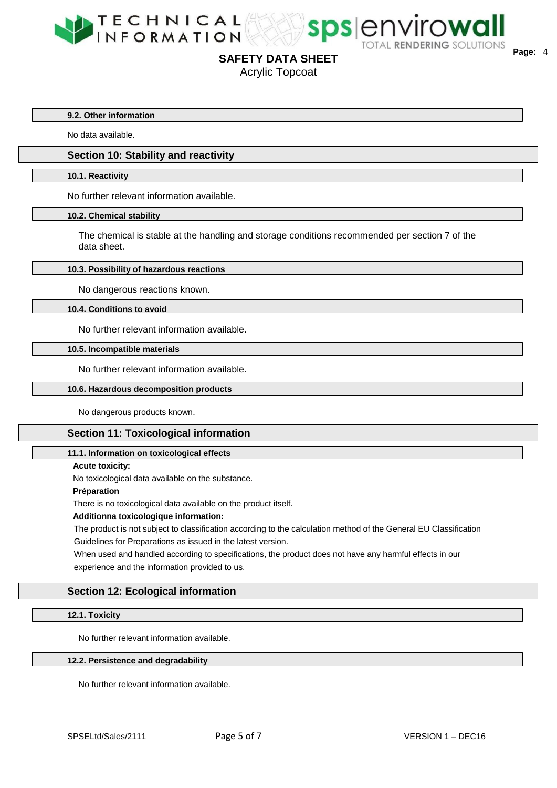



Acrylic Topcoat

**9.2. Other information**

No data available.

# **Section 10: Stability and reactivity**

#### **10.1. Reactivity**

No further relevant information available.

#### **10.2. Chemical stability**

The chemical is stable at the handling and storage conditions recommended per section 7 of the data sheet.

## **10.3. Possibility of hazardous reactions**

No dangerous reactions known.

#### **10.4. Conditions to avoid**

No further relevant information available.

#### **10.5. Incompatible materials**

No further relevant information available.

# **10.6. Hazardous decomposition products**

No dangerous products known.

# **Section 11: Toxicological information**

## **11.1. Information on toxicological effects**

**Acute toxicity:**

No toxicological data available on the substance.

#### **Préparation**

There is no toxicological data available on the product itself.

# **Additionna toxicologique information:**

The product is not subject to classification according to the calculation method of the General EU Classification Guidelines for Preparations as issued in the latest version.

When used and handled according to specifications, the product does not have any harmful effects in our experience and the information provided to us.

# **Section 12: Ecological information**

# **12.1. Toxicity**

No further relevant information available.

#### **12.2. Persistence and degradability**

No further relevant information available.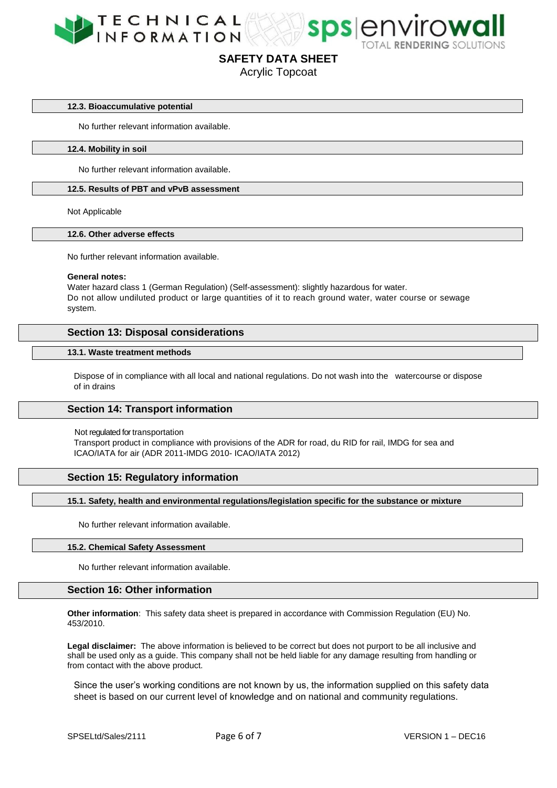



Acrylic Topcoat

# **12.3. Bioaccumulative potential**

No further relevant information available.

#### **12.4. Mobility in soil**

No further relevant information available.

# **12.5. Results of PBT and vPvB assessment**

Not Applicable

# **12.6. Other adverse effects**

No further relevant information available.

#### **General notes:**

Water hazard class 1 (German Regulation) (Self-assessment): slightly hazardous for water. Do not allow undiluted product or large quantities of it to reach ground water, water course or sewage system.

# **Section 13: Disposal considerations**

# **13.1. Waste treatment methods**

Dispose of in compliance with all local and national regulations. Do not wash into the watercourse or dispose of in drains

## **Section 14: Transport information**

Not regulated for transportation

Transport product in compliance with provisions of the ADR for road, du RID for rail, IMDG for sea and ICAO/IATA for air (ADR 2011-IMDG 2010- ICAO/IATA 2012)

# **Section 15: Regulatory information**

## **15.1. Safety, health and environmental regulations/legislation specific for the substance or mixture**

No further relevant information available.

# **15.2. Chemical Safety Assessment**

No further relevant information available.

# **Section 16: Other information**

**Other information**: This safety data sheet is prepared in accordance with Commission Regulation (EU) No. 453/2010.

**Legal disclaimer:** The above information is believed to be correct but does not purport to be all inclusive and shall be used only as a guide. This company shall not be held liable for any damage resulting from handling or from contact with the above product.

Since the user's working conditions are not known by us, the information supplied on this safety data sheet is based on our current level of knowledge and on national and community regulations.